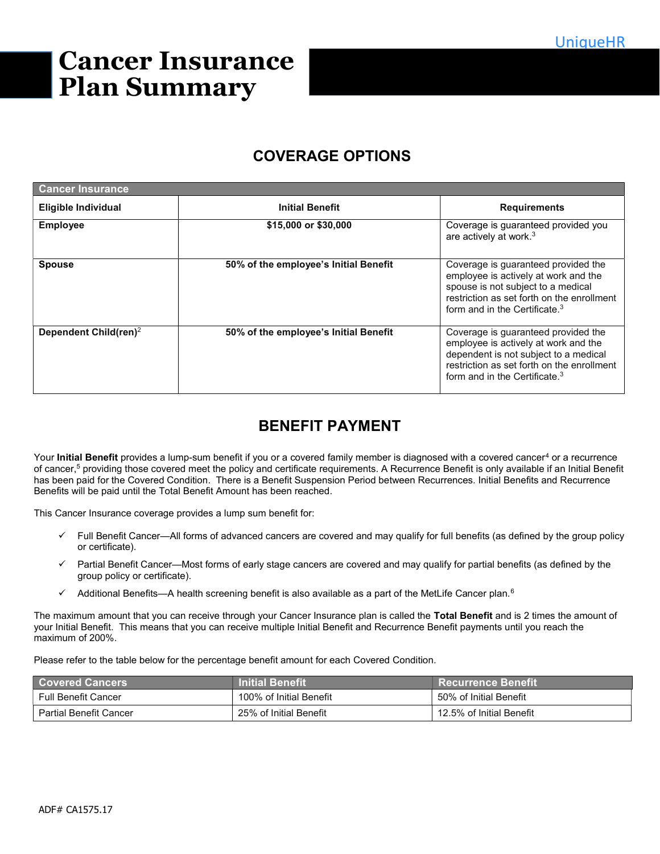# Cancer Insurance Plan Summary

## COVERAGE OPTIONS

| <b>Cancer Insurance</b>           |                                       |                                                                                                                                                                                                              |
|-----------------------------------|---------------------------------------|--------------------------------------------------------------------------------------------------------------------------------------------------------------------------------------------------------------|
| <b>Eligible Individual</b>        | <b>Initial Benefit</b>                | <b>Requirements</b>                                                                                                                                                                                          |
| <b>Employee</b>                   | \$15,000 or \$30,000                  | Coverage is guaranteed provided you<br>are actively at work. <sup>3</sup>                                                                                                                                    |
| <b>Spouse</b>                     | 50% of the employee's Initial Benefit | Coverage is guaranteed provided the<br>employee is actively at work and the<br>spouse is not subject to a medical<br>restriction as set forth on the enrollment<br>form and in the Certificate. <sup>3</sup> |
| Dependent Child(ren) <sup>2</sup> | 50% of the employee's Initial Benefit | Coverage is guaranteed provided the<br>employee is actively at work and the<br>dependent is not subject to a medical<br>restriction as set forth on the enrollment<br>form and in the Certificate. $3$       |

# BENEFIT PAYMENT

Your **Initial Benefit** provides a lump-sum benefit if you or a covered family member is diagnosed with a covered cancer<sup>4</sup> or a recurrence of cancer,<sup>5</sup> providing those covered meet the policy and certificate requirements. A Recurrence Benefit is only available if an Initial Benefit has been paid for the Covered Condition. There is a Benefit Suspension Period between Recurrences. Initial Benefits and Recurrence Benefits will be paid until the Total Benefit Amount has been reached.

This Cancer Insurance coverage provides a lump sum benefit for:

- Full Benefit Cancer—All forms of advanced cancers are covered and may qualify for full benefits (as defined by the group policy or certificate).
- $\checkmark$  Partial Benefit Cancer—Most forms of early stage cancers are covered and may qualify for partial benefits (as defined by the group policy or certificate).
- $\checkmark$  Additional Benefits—A health screening benefit is also available as a part of the MetLife Cancer plan.<sup>6</sup>

The maximum amount that you can receive through your Cancer Insurance plan is called the Total Benefit and is 2 times the amount of your Initial Benefit. This means that you can receive multiple Initial Benefit and Recurrence Benefit payments until you reach the maximum of 200%.

Please refer to the table below for the percentage benefit amount for each Covered Condition.

| <b>Covered Cancers</b> | <b>Initial Benefit</b>  | <b>Recurrence Benefit</b> |
|------------------------|-------------------------|---------------------------|
| Full Benefit Cancer    | 100% of Initial Benefit | 50% of Initial Benefit    |
| Partial Benefit Cancer | 25% of Initial Benefit  | 12.5% of Initial Benefit  |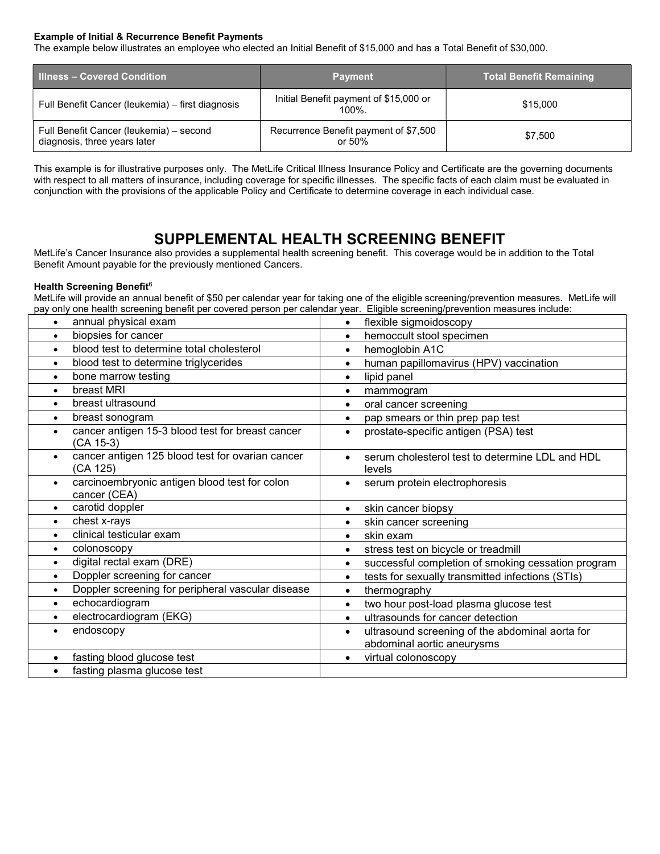#### Example of Initial & Recurrence Benefit Payments

The example below illustrates an employee who elected an Initial Benefit of \$15,000 and has a Total Benefit of \$30,000.

| <b>Illness - Covered Condition</b>                                      | <b>Payment</b>                                  | <b>Total Benefit Remaining</b> |  |
|-------------------------------------------------------------------------|-------------------------------------------------|--------------------------------|--|
| Full Benefit Cancer (leukemia) - first diagnosis                        | Initial Benefit payment of \$15,000 or<br>100%. | \$15,000                       |  |
| Full Benefit Cancer (leukemia) - second<br>diagnosis, three years later | Recurrence Benefit payment of \$7,500<br>or 50% | \$7.500                        |  |

This example is for illustrative purposes only. The MetLife Critical Illness Insurance Policy and Certificate are the governing documents with respect to all matters of insurance, including coverage for specific illnesses. The specific facts of each claim must be evaluated in conjunction with the provisions of the applicable Policy and Certificate to determine coverage in each individual case.

### SUPPLEMENTAL HEALTH SCREENING BENEFIT

MetLife's Cancer Insurance also provides a supplemental health screening benefit. This coverage would be in addition to the Total Benefit Amount payable for the previously mentioned Cancers.

#### Health Screening Benefit<sup>6</sup>

MetLife will provide an annual benefit of \$50 per calendar year for taking one of the eligible screening/prevention measures. MetLife will pay only one health screening benefit per covered person per calendar year. Eligible screening/prevention measures include:

| annual physical exam<br>$\bullet$                                          | flexible sigmoidoscopy<br>$\bullet$                                                        |  |
|----------------------------------------------------------------------------|--------------------------------------------------------------------------------------------|--|
| biopsies for cancer<br>$\bullet$                                           | hemoccult stool specimen                                                                   |  |
| blood test to determine total cholesterol<br>$\bullet$                     | hemoglobin A1C                                                                             |  |
| blood test to determine triglycerides<br>$\bullet$                         | human papillomavirus (HPV) vaccination<br>$\bullet$                                        |  |
| bone marrow testing<br>$\bullet$                                           | lipid panel<br>$\bullet$                                                                   |  |
| breast MRI<br>$\bullet$                                                    | mammogram<br>$\bullet$                                                                     |  |
| breast ultrasound<br>$\bullet$                                             | oral cancer screening<br>$\bullet$                                                         |  |
| breast sonogram<br>$\bullet$                                               | pap smears or thin prep pap test                                                           |  |
| cancer antigen 15-3 blood test for breast cancer<br>$\bullet$<br>(CA 15-3) | prostate-specific antigen (PSA) test<br>$\bullet$                                          |  |
| cancer antigen 125 blood test for ovarian cancer<br>$\bullet$<br>(CA 125)  | serum cholesterol test to determine LDL and HDL<br>levels                                  |  |
| carcinoembryonic antigen blood test for colon<br>$\bullet$<br>cancer (CEA) | serum protein electrophoresis<br>$\bullet$                                                 |  |
| carotid doppler<br>$\bullet$                                               | skin cancer biopsy<br>$\bullet$                                                            |  |
| chest x-rays<br>$\bullet$                                                  | skin cancer screening<br>$\bullet$                                                         |  |
| clinical testicular exam<br>$\bullet$                                      | skin exam                                                                                  |  |
| colonoscopy<br>$\bullet$                                                   | stress test on bicycle or treadmill                                                        |  |
| digital rectal exam (DRE)<br>$\bullet$                                     | successful completion of smoking cessation program<br>$\bullet$                            |  |
| Doppler screening for cancer<br>$\bullet$                                  | tests for sexually transmitted infections (STIs)<br>$\bullet$                              |  |
| Doppler screening for peripheral vascular disease<br>$\bullet$             | thermography<br>$\bullet$                                                                  |  |
| echocardiogram<br>$\bullet$                                                | two hour post-load plasma glucose test<br>$\bullet$                                        |  |
| electrocardiogram (EKG)<br>$\bullet$                                       | ultrasounds for cancer detection                                                           |  |
| endoscopy<br>$\bullet$                                                     | ultrasound screening of the abdominal aorta for<br>$\bullet$<br>abdominal aortic aneurysms |  |
| fasting blood glucose test<br>$\bullet$                                    | virtual colonoscopy                                                                        |  |
| fasting plasma glucose test                                                |                                                                                            |  |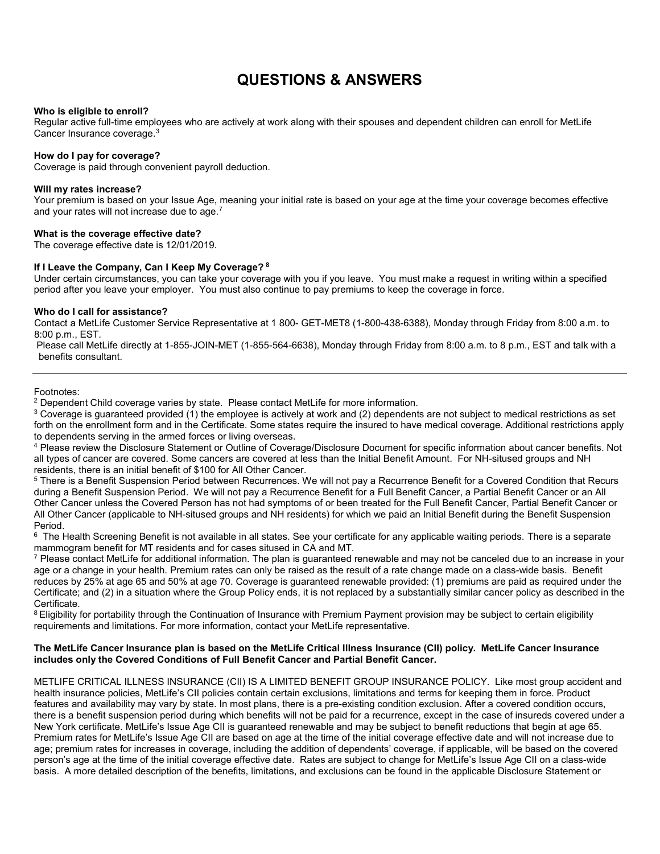### QUESTIONS & ANSWERS

#### Who is eligible to enroll?

Regular active full-time employees who are actively at work along with their spouses and dependent children can enroll for MetLife Cancer Insurance coverage.<sup>3</sup>

#### How do I pay for coverage?

Coverage is paid through convenient payroll deduction.

#### Will my rates increase?

Your premium is based on your Issue Age, meaning your initial rate is based on your age at the time your coverage becomes effective and your rates will not increase due to age.<sup>7</sup>

#### What is the coverage effective date?

The coverage effective date is 12/01/2019.

#### If I Leave the Company, Can I Keep My Coverage? 8

Under certain circumstances, you can take your coverage with you if you leave. You must make a request in writing within a specified period after you leave your employer. You must also continue to pay premiums to keep the coverage in force.

#### Who do I call for assistance?

Contact a MetLife Customer Service Representative at 1 800- GET-MET8 (1-800-438-6388), Monday through Friday from 8:00 a.m. to 8:00 p.m., EST.

Please call MetLife directly at 1-855-JOIN-MET (1-855-564-6638), Monday through Friday from 8:00 a.m. to 8 p.m., EST and talk with a benefits consultant.

Footnotes:

<sup>2</sup> Dependent Child coverage varies by state. Please contact MetLife for more information.

 $^3$  Coverage is guaranteed provided (1) the employee is actively at work and (2) dependents are not subject to medical restrictions as set forth on the enrollment form and in the Certificate. Some states require the insured to have medical coverage. Additional restrictions apply to dependents serving in the armed forces or living overseas.

4 Please review the Disclosure Statement or Outline of Coverage/Disclosure Document for specific information about cancer benefits. Not all types of cancer are covered. Some cancers are covered at less than the Initial Benefit Amount. For NH-sitused groups and NH residents, there is an initial benefit of \$100 for All Other Cancer.

 $^5$  There is a Benefit Suspension Period between Recurrences. We will not pay a Recurrence Benefit for a Covered Condition that Recurs during a Benefit Suspension Period. We will not pay a Recurrence Benefit for a Full Benefit Cancer, a Partial Benefit Cancer or an All Other Cancer unless the Covered Person has not had symptoms of or been treated for the Full Benefit Cancer, Partial Benefit Cancer or All Other Cancer (applicable to NH-sitused groups and NH residents) for which we paid an Initial Benefit during the Benefit Suspension Period.

 $^6$  The Health Screening Benefit is not available in all states. See your certificate for any applicable waiting periods. There is a separate mammogram benefit for MT residents and for cases sitused in CA and MT.

 $^7$  Please contact MetLife for additional information. The plan is guaranteed renewable and may not be canceled due to an increase in your age or a change in your health. Premium rates can only be raised as the result of a rate change made on a class-wide basis. Benefit reduces by 25% at age 65 and 50% at age 70. Coverage is guaranteed renewable provided: (1) premiums are paid as required under the Certificate; and (2) in a situation where the Group Policy ends, it is not replaced by a substantially similar cancer policy as described in the Certificate.

<sup>8</sup> Eligibility for portability through the Continuation of Insurance with Premium Payment provision may be subject to certain eligibility requirements and limitations. For more information, contact your MetLife representative.

#### The MetLife Cancer Insurance plan is based on the MetLife Critical Illness Insurance (CII) policy. MetLife Cancer Insurance includes only the Covered Conditions of Full Benefit Cancer and Partial Benefit Cancer.

METLIFE CRITICAL ILLNESS INSURANCE (CII) IS A LIMITED BENEFIT GROUP INSURANCE POLICY. Like most group accident and health insurance policies, MetLife's CII policies contain certain exclusions, limitations and terms for keeping them in force. Product features and availability may vary by state. In most plans, there is a pre-existing condition exclusion. After a covered condition occurs, there is a benefit suspension period during which benefits will not be paid for a recurrence, except in the case of insureds covered under a New York certificate. MetLife's Issue Age CII is guaranteed renewable and may be subject to benefit reductions that begin at age 65. Premium rates for MetLife's Issue Age CII are based on age at the time of the initial coverage effective date and will not increase due to age; premium rates for increases in coverage, including the addition of dependents' coverage, if applicable, will be based on the covered person's age at the time of the initial coverage effective date. Rates are subject to change for MetLife's Issue Age CII on a class-wide basis. A more detailed description of the benefits, limitations, and exclusions can be found in the applicable Disclosure Statement or